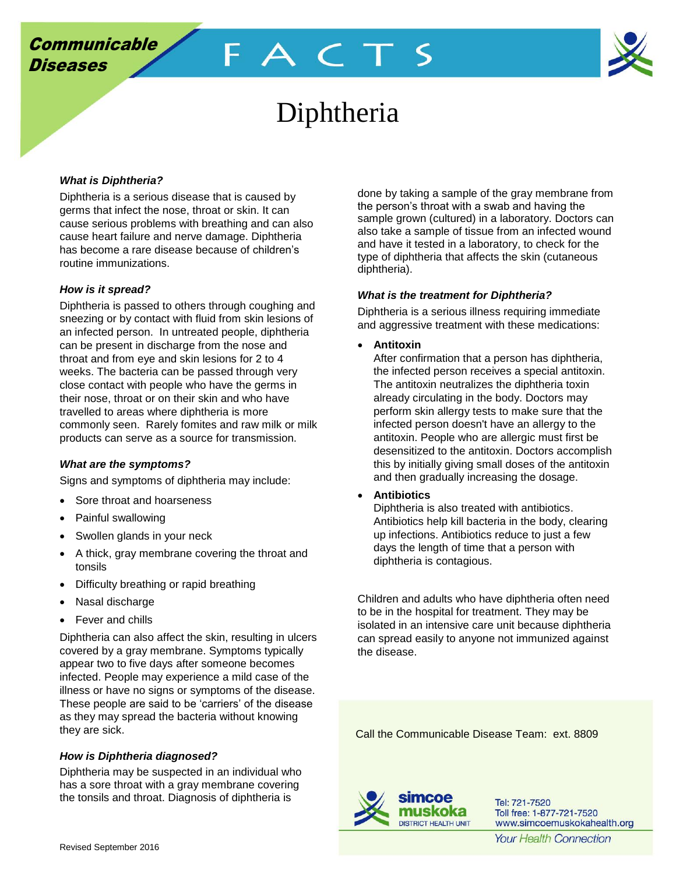

# Diphtheria

FACTS

# *What is Diphtheria?*

Diphtheria is a serious disease that is caused by germs that infect the nose, throat or skin. It can cause serious problems with breathing and can also cause heart failure and nerve damage. Diphtheria has become a rare disease because of children's routine immunizations.

## *How is it spread?*

Diphtheria is passed to others through coughing and sneezing or by contact with fluid from skin lesions of an infected person. In untreated people, diphtheria can be present in discharge from the nose and throat and from eye and skin lesions for 2 to 4 weeks. The bacteria can be passed through very close contact with people who have the germs in their nose, throat or on their skin and who have travelled to areas where diphtheria is more commonly seen. Rarely fomites and raw milk or milk products can serve as a source for transmission.

## *What are the symptoms?*

Signs and symptoms of diphtheria may include:

- Sore throat and hoarseness
- Painful swallowing
- Swollen glands in your neck
- A thick, gray membrane covering the throat and tonsils
- Difficulty breathing or rapid breathing
- Nasal discharge
- Fever and chills

Diphtheria can also affect the skin, resulting in ulcers covered by a gray membrane. Symptoms typically appear two to five days after someone becomes infected. People may experience a mild case of the illness or have no signs or symptoms of the disease. These people are said to be 'carriers' of the disease as they may spread the bacteria without knowing they are sick.

## *How is Diphtheria diagnosed?*

Diphtheria may be suspected in an individual who has a sore throat with a gray membrane covering the tonsils and throat. Diagnosis of diphtheria is

done by taking a sample of the gray membrane from the person's throat with a swab and having the sample grown (cultured) in a laboratory. Doctors can also take a sample of tissue from an infected wound and have it tested in a laboratory, to check for the type of diphtheria that affects the skin (cutaneous diphtheria).

#### *What is the treatment for Diphtheria?*

Diphtheria is a serious illness requiring immediate and aggressive treatment with these medications:

**Antitoxin**

After confirmation that a person has diphtheria, the infected person receives a special antitoxin. The antitoxin neutralizes the diphtheria toxin already circulating in the body. Doctors may perform skin allergy tests to make sure that the infected person doesn't have an allergy to the antitoxin. People who are allergic must first be desensitized to the antitoxin. Doctors accomplish this by initially giving small doses of the antitoxin and then gradually increasing the dosage.

**Antibiotics**

Diphtheria is also treated with antibiotics. Antibiotics help kill bacteria in the body, clearing up infections. Antibiotics reduce to just a few days the length of time that a person with diphtheria is contagious.

Children and adults who have diphtheria often need to be in the hospital for treatment. They may be isolated in an intensive care unit because diphtheria can spread easily to anyone not immunized against the disease.

Call the Communicable Disease Team: ext. 8809



Tel: 721-7520 Toll free: 1-877-721-7520 www.simcoemuskokahealth.org

**Your Health Connection**